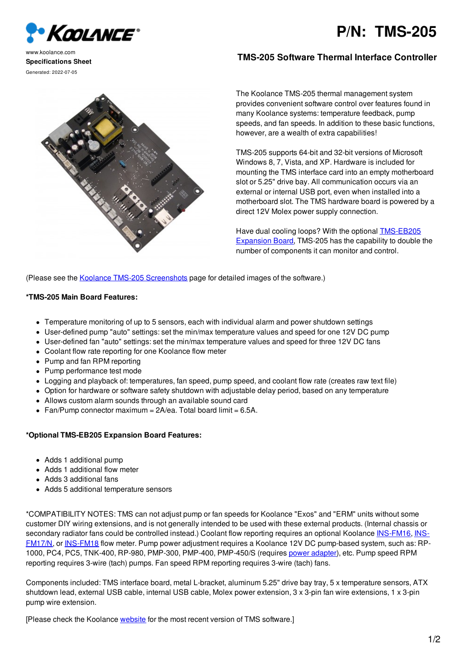



www.koolance.com **Specifications Sheet** Generated: 2022-07-05

## **TMS-205 Software Thermal Interface Controller**

The Koolance TMS-205 thermal management system provides convenient software control over features found in many Koolance systems: temperature feedback, pump speeds, and fan speeds. In addition to these basic functions, however, are a wealth of extra capabilities!

TMS-205 supports 64-bit and 32-bit versions of Microsoft Windows 8, 7, Vista, and XP. Hardware is included for mounting the TMS interface card into an empty motherboard slot or 5.25" drive bay. All communication occurs via an external or internal USB port, even when installed into a motherboard slot. The TMS hardware board is powered by a direct 12V Molex power supply connection.

Have dual cooling loops? With the optional [TMS-EB205](http://koolance.com/tms-eb205-expansion-board) Expansion Board, TMS-205 has the capability to double the number of components it can monitor and control.

(Please see the Koolance TMS-205 [Screenshots](http://koolance.com/tms-205-software-screenshots) page for detailed images of the software.)

## **\*TMS-205 Main Board Features:**

- Temperature monitoring of up to 5 sensors, each with individual alarm and power shutdown settings
- User-defined pump "auto" settings: set the min/max temperature values and speed for one 12V DC pump
- User-defined fan "auto" settings: set the min/max temperature values and speed for three 12V DC fans
- Coolant flow rate reporting for one Koolance flow meter
- Pump and fan RPM reporting
- Pump performance test mode
- Logging and playback of: temperatures, fan speed, pump speed, and coolant flow rate (creates raw text file)
- Option for hardware or software safety shutdown with adjustable delay period, based on any temperature
- Allows custom alarm sounds through an available sound card
- Fan/Pump connector maximum =  $2A/ea$ . Total board limit = 6.5A.

## **\*Optional TMS-EB205 Expansion Board Features:**

- Adds 1 additional pump
- Adds 1 additional flow meter
- Adds 3 additional fans
- Adds 5 additional temperature sensors

\*COMPATIBILITY NOTES: TMS can not adjust pump or fan speeds for Koolance "Exos" and "ERM" units without some customer DIY wiring extensions, and is not generally intended to be used with these external products. (Internal chassis or secondary radiator fans could be controlled instead.) Coolant flow reporting requires an optional Koolance [INS-FM16](file:///home/koolanc/tmp/ins-fm16-coolant-flow-meter), INS-FM17/N, or [INS-FM18](file:///home/koolanc/tmp/ins-fm18-coolant-flow-meter-stainless-steel) flow meter. Pump power adjustment requires a Koolance 12V DC [pump-based](file:///home/koolanc/tmp/ins-fm17n-coolant-flow-meter) system, such as: RP-1000, PC4, PC5, TNK-400, RP-980, PMP-300, PMP-400, PMP-450/S (requires power [adapter](http://koolance.com/3-4pin-molex-power-adapter)), etc. Pump speed RPM reporting requires 3-wire (tach) pumps. Fan speed RPM reporting requires 3-wire (tach) fans.

Components included: TMS interface board, metal L-bracket, aluminum 5.25" drive bay tray, 5 x temperature sensors, ATX shutdown lead, external USB cable, internal USB cable, Molex power extension, 3 x 3-pin fan wire extensions, 1 x 3-pin pump wire extension.

[Please check the Koolance [website](http://koolance.com/software) for the most recent version of TMS software.]